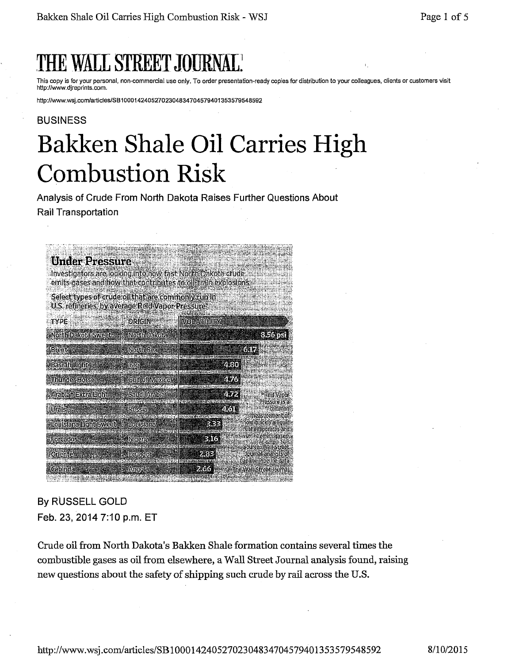## **WALL STREET JOURNA**

This copy is for your personal, non-commercial use only. To order presentation-ready copies for distribution to your colleagues, clients or customers visit http://www.djreprints.com.

http://www.wsj.com/articles/SB 10001424052702304834 704579401353579548592

## **BUSINESS**

## **Bakken Shale Oil Carries High Combustion Risk**

Analysis of Crude From North Dakota Raises Further Questions About Rail Transportation

| <b>Under Pressure</b><br>Investigators are looking into how tast North Dakota crude.                  |                       |                                                              |
|-------------------------------------------------------------------------------------------------------|-----------------------|--------------------------------------------------------------|
|                                                                                                       |                       | emits gases and how that contributes to oil train explosions |
| Select types of crude oil that are commonly run in<br>U.S. refineries, by average Reid Vapor Pressure |                       |                                                              |
| TYPE                                                                                                  | ORIGIN                | <b>VOLATIBITY</b>                                            |
| North Dakota Sweet                                                                                    | North Dakota          | <b>3.56 psi</b>                                              |
| Brent                                                                                                 | <b>North Sea</b>      | 11111617                                                     |
| <b>Basrah Ught</b>                                                                                    | <b>Trage</b>          | 430                                                          |
| <b>Thunder Horse</b>                                                                                  | <b>GulfroffMexico</b> | 476                                                          |
| Arabian Extra Light                                                                                   | <b>Saudi Atabia</b>   | 4972<br><sup>&gt;</sup> Reid Vapor<br>Pressure is a          |
| Urals                                                                                                 | Rússia                | 4.61.<br><b>Common</b><br>measurement of                     |
| Ilóuisiana Light Sweet                                                                                | <b>Louisiana</b>      | how duickly a llouid<br>3.33<br>fuel evaporates and          |
| Forcados                                                                                              | Nigéria               | et emits dases.<br>316<br>Source::Wall-Street                |
| <b>Orientes</b>                                                                                       | <b>Ecuado</b>         | 2,82<br>Journal analysis of<br>Capline Pipeline data         |
| Cabinda                                                                                               | Angola                | 2.66<br>The Wall Street Journal                              |

By RUSSELL GOLD Feb. 23, 2014 7:10 p.m. ET

Crude oil from North Dakota's Bakken Shale formation contains several times the combustible gases as oil from elsewhere, a Wall Street Journal analysis found, raising new questions about the safety of shipping such crude by rail across the U.S.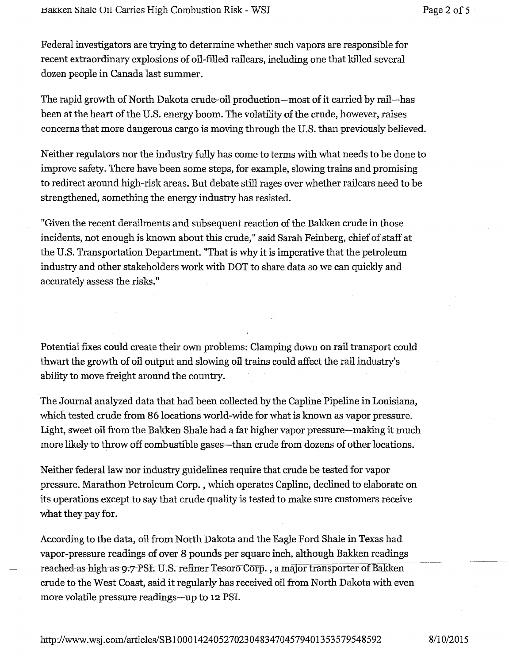Federal investigators are trying to determine whether such vapors are responsible for recent extraordinary explosions of oil-filled railcars, including one that killed several dozen people in Canada last summer.

The rapid growth of North Dakota crude-oil production-most of it carried by rail-has been at the heart of the U.S. energy boom. The volatility of the crude, however, raises concerns that more dangerous cargo is moving through the U.S. than previously believed.

Neither regulators nor the industry fully has come to terms with what needs to be done to improve safety. There have been some steps, for example, slowing trains and promising to redirect around high-risk areas. But debate still rages over whether railcars need to be strengthened, something the energy industry has resisted.

"Given the recent derailments and subsequent reaction of the Bakken crude in those incidents, not enough is known about this crude," said Sarah Feinberg, chief of staff at the U.S. Transportation Department. "That is why it is imperative that the petroleum industry and other stakeholders work with DOT to share data so we can quickly and accurately assess the risks."

Potential fixes could create their own problems: Clamping down on rail transport could thwart the growth of oil output and slowing oil trains could affect the rail industry's ability to move freight around the country.

The Journal analyzed data that had been collected by the Capline Pipeline in Louisiana, which tested crude from 86 locations world-wide for what is known as vapor pressure. Light, sweet oil from the Bakken Shale had a far higher vapor pressure-making it much more likely to throw off combustible gases-than crude from dozens of other locations.

Neither federal law nor industry guidelines require that crude be tested for vapor pressure. Marathon Petroleum Corp. , which operates Capline, declined to elaborate on its operations except to say that crude quality is tested to make sure customers receive what they pay for.

According to the data, oil from North Dakota and the Eagle Ford Shale in Texas had vapor-pressure readings of over 8 pounds per square inch, although Bakken readings -reached-as-high-as-9.7-PSI. U.S. refiner Tesoro Corp., a major transporter of Bakken crude to the West Coast, said it regularly has received oil from North Dakota with even more volatile pressure readings-up to 12 PSI.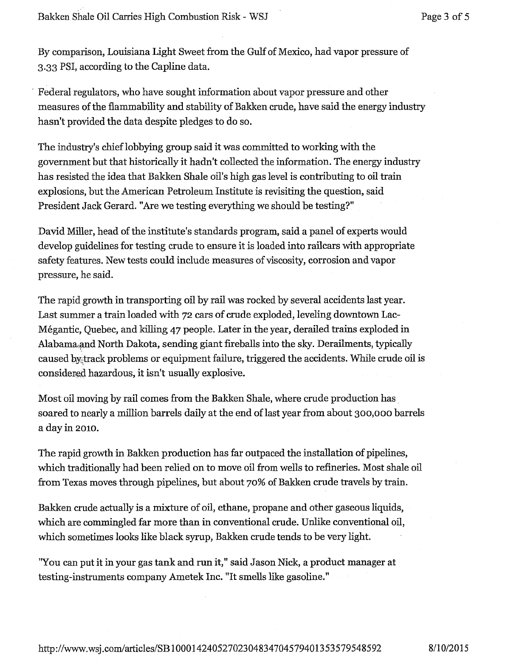By comparison, Louisiana Light Sweet from the Gulf of Mexico, had vapor pressure of 3.33 PSI, according to the Capline data.

Federal regulators, who have sought information about vapor pressure and other measures of the flammability and stability of Bakken crude, have said the energy industry hasn't provided the data despite pledges to do so.

The industry's chief lobbying group said it was committed to working with the government but that historically it hadn't collected the information. The energy industry has resisted the idea that Bakken Shale oil's high gas level is contributing to oil train explosions, but the American Petroleum Institute is revisiting the question, said President Jack Gerard. "Are we testing everything we should be testing?"

David Miller, head of the institute's standards program, said a panel of experts would develop guidelines for testing crude to ensure it is loaded into railcars with appropriate safety features. New tests could include measures of viscosity, corrosion and vapor pressure, he said.

The rapid growth in transporting oil by rail was rocked by several accidents last year. Last summer a train loaded with 72 cars of crude exploded, leveling downtown Lac-Megantic, Quebec, and killing 47 people. Later in the year, derailed trains exploded in Alabama<sub>3</sub> and North Dakota, sending giant fireballs into the sky. Derailments, typically caused by track problems or equipment failure, triggered the accidents. While crude oil is considered hazardous, it isn't usually explosive.

Most oil moving by rail comes from the Bakken Shale, where crude production has soared to nearly a million barrels daily at the end of last year from about 300,000 barrels a day in 2010.

The rapid growth in Bakken production has far outpaced the installation of pipelines, which traditionally had been relied on to move oil from wells to refineries. Most shale oil from Texas moves through pipelines, but about 70% of Bakken crude travels by train.

Bakken crude actually is a mixture of oil, ethane, propane and other gaseous liquids, which are commingled far more than in conventional crude. Unlike conventional oil, which sometimes looks like black syrup, Bakken crude tends to be very light.

''You can put it in your gas tank and run it," said Jason Nick, a product manager at testing-instruments company Ametek Inc. "It smells like gasoline."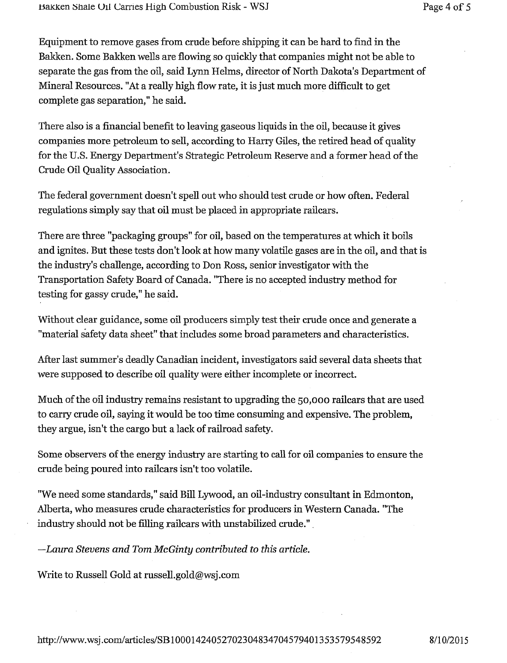Equipment to remove gases from crude before shipping it can be hard to find in the Bakken. Some Bakken wells are flowing so quickly that companies might not be able to separate the gas from the oil, said Lynn Helms, director of North Dakota's Department of Mineral Resources. "At a really high flow rate, it is just much more difficult to get complete gas separation," he said.

There also is a financial benefit to leaving gaseous liquids in the oil, because it gives companies more petroleum to sell, according to Harry Giles, the retired head of quality for the U.S. Energy Department's Strategic Petroleum Reserve and a former head of the Crude Oil Quality Association.

The federal government doesn't spell out who should test crude or how often. Federal regulations simply say that oil must be placed in appropriate railcars.

There are three "packaging groups" for oil, based on the temperatures at which it boils and ignites. But these tests don't look at how many volatile gases are in the oil, and that is the industry's challenge, according to Don Ross, senior investigator with the Transportation Safety Board of Canada. "There is no accepted industry method for testing for gassy crude," he said.

Without clear guidance, some oil producers simply test their crude once and generate a "material safety data sheet" that includes some broad parameters and characteristics.

After last summer's deadly Canadian incident, investigators said several data sheets that were supposed to describe oil quality were either incomplete or incorrect.

Much of the oil industry remains resistant to upgrading the 50,000 railcars that are used to carry crude oil, saying it would be too time consuming and expensive. The problem, they argue, isn't the cargo but a lack of railroad safety.

Some observers of the energy industry are starting to call for oil companies to ensure the crude being poured into railcars isn't too volatile.

"We need some standards," said Bill Lywood, an oil-industry consultant in Edmonton, Alberta, who measures crude characteristics for producers in Western Canada. "The industry should not be filling railcars with unstabilized crude." .

*-Laura Stevens and Tom McGinty contributed to this article.* 

Write to Russell Gold at russell.gold@wsj.com